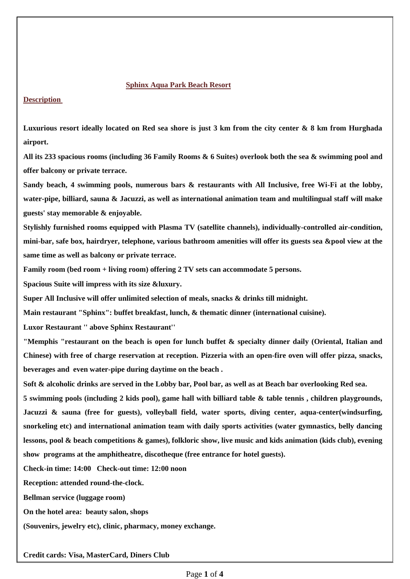#### **Sphinx Aqua Park Beach Resort**

**Description** 

**Luxurious resort ideally located on Red sea shore is just 3 km from the city center & 8 km from Hurghada airport.** 

**All its 233 spacious rooms (including 36 Family Rooms & 6 Suites) overlook both the sea & swimming pool and offer balcony or private terrace.** 

**Sandy beach, 4 swimming pools, numerous bars & restaurants with All Inclusive, free Wi-Fi at the lobby, water-pipe, billiard, sauna & Jacuzzi, as well as international animation team and multilingual staff will make guests' stay memorable & enjoyable.**

**Stylishly furnished rooms equipped with Plasma TV (satellite channels), individually-controlled air-condition, mini-bar, safe box, hairdryer, telephone, various bathroom amenities will offer its guests sea &pool view at the same time as well as balcony or private terrace.** 

**Family room (bed room + living room) offering 2 TV sets can accommodate 5 persons.** 

**Spacious Suite will impress with its size &luxury.**

**Super All Inclusive will offer unlimited selection of meals, snacks & drinks till midnight.** 

**Main restaurant "Sphinx": buffet breakfast, lunch, & thematic dinner (international cuisine).**

**Luxor Restaurant '' above Sphinx Restaurant''** 

**"Memphis "restaurant on the beach is open for lunch buffet & specialty dinner daily (Oriental, Italian and Chinese) with free of charge reservation at reception. Pizzeria with an open-fire oven will offer pizza, snacks, beverages and even water-pipe during daytime on the beach .** 

**Soft & alcoholic drinks are served in the Lobby bar, Pool bar, as well as at Beach bar overlooking Red sea.**

**5 swimming pools (including 2 kids pool), game hall with billiard table & table tennis , children playgrounds, Jacuzzi & sauna (free for guests), volleyball field, water sports, diving center, aqua-center(windsurfing, snorkeling etc) and international animation team with daily sports activities (water gymnastics, belly dancing lessons, pool & beach competitions & games), folkloric show, live music and kids animation (kids club), evening show programs at the amphitheatre, discotheque (free entrance for hotel guests).**

**Check-in time: 14:00 Check-out time: 12:00 noon** 

**Reception: attended round-the-clock.** 

**Bellman service (luggage room)** 

**On the hotel area: beauty salon, shops** 

**(Souvenirs, jewelry etc), clinic, pharmacy, money exchange.** 

**Credit cards: Visa, MasterCard, Diners Club**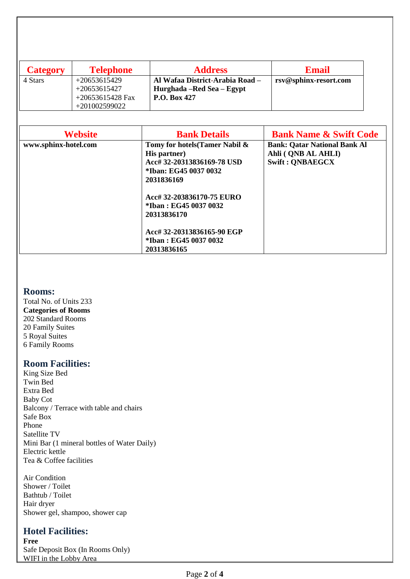| <b>Category</b> | <b>Telephone</b>   | <b>Address</b>                  | <b>Email</b>          |
|-----------------|--------------------|---------------------------------|-----------------------|
| 4 Stars         | $+20653615429$     | Al Wafaa District-Arabia Road - | rsv@sphinx-resort.com |
|                 | $+20653615427$     | Hurghada – Red Sea – Egypt      |                       |
|                 | $+20653615428$ Fax | P.O. Box 427                    |                       |
|                 | +201002599022      |                                 |                       |

| <b>Website</b>       | <b>Bank Details</b>                                                          | <b>Bank Name &amp; Swift Code</b>                                                   |
|----------------------|------------------------------------------------------------------------------|-------------------------------------------------------------------------------------|
| www.sphinx-hotel.com | Tomy for hotels (Tamer Nabil &<br>His partner)<br>Acc# 32-20313836169-78 USD | <b>Bank: Qatar National Bank Al</b><br>Ahli (ONB AL AHLI)<br><b>Swift: ONBAEGCX</b> |
|                      | *Iban: EG45 0037 0032<br>2031836169                                          |                                                                                     |
|                      | Acc# 32-203836170-75 EURO<br>*Iban : EG45 0037 0032<br>20313836170           |                                                                                     |
|                      | Acc# 32-20313836165-90 EGP<br>*Iban: EG45 0037 0032<br>20313836165           |                                                                                     |

## **Rooms:**

Total No. of Units 233 **Categories of Rooms** 202 Standard Rooms 20 Family Suites 5 Royal Suites 6 Family Rooms

### **Room Facilities:**

King Size Bed Twin Bed Extra Bed Baby Cot Balcony / Terrace with table and chairs Safe Box Phone Satellite TV Mini Bar (1 mineral bottles of Water Daily) Electric kettle Tea & Coffee facilities

Air Condition Shower / Toilet Bathtub / Toilet Hair dryer Shower gel, shampoo, shower cap

## **Hotel Facilities:**

**Free** Safe Deposit Box (In Rooms Only) WIFI in the Lobby Area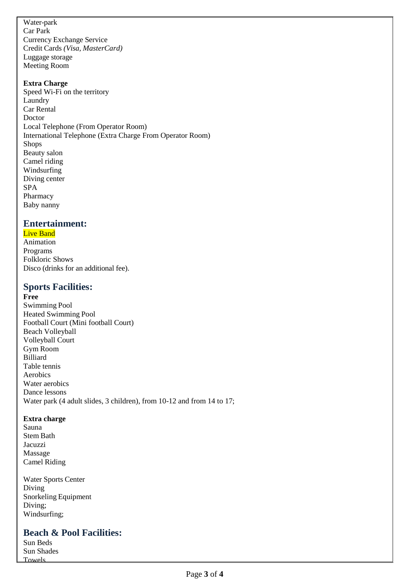Water-park Car Park Currency Exchange Service Credit Cards *(Visa, MasterCard)* Luggage storage Meeting Room

#### **Extra Charge**

Speed Wi-Fi on the territory Laundry Car Rental Doctor Local Telephone (From Operator Room) International Telephone (Extra Charge From Operator Room) Shops Beauty salon Camel riding Windsurfing Diving center SPA Pharmacy Baby nanny

## **Entertainment:**

#### **Live Band**

Animation Programs Folkloric Shows Disco (drinks for an additional fee).

### **Sports Facilities:**

**Free** Swimming Pool Heated Swimming Pool Football Court (Mini football Court) Beach Volleyball Volleyball Court Gym Room Billiard Table tennis Aerobics Water aerobics Dance lessons Water park (4 adult slides, 3 children), from 10-12 and from 14 to 17;

#### **Extra charge**

Sauna Stem Bath Jacuzzi Massage Camel Riding

Towels

Water Sports Center Diving Snorkeling Equipment Diving; Windsurfing;

**Beach & Pool Facilities:** Sun Beds Sun Shades